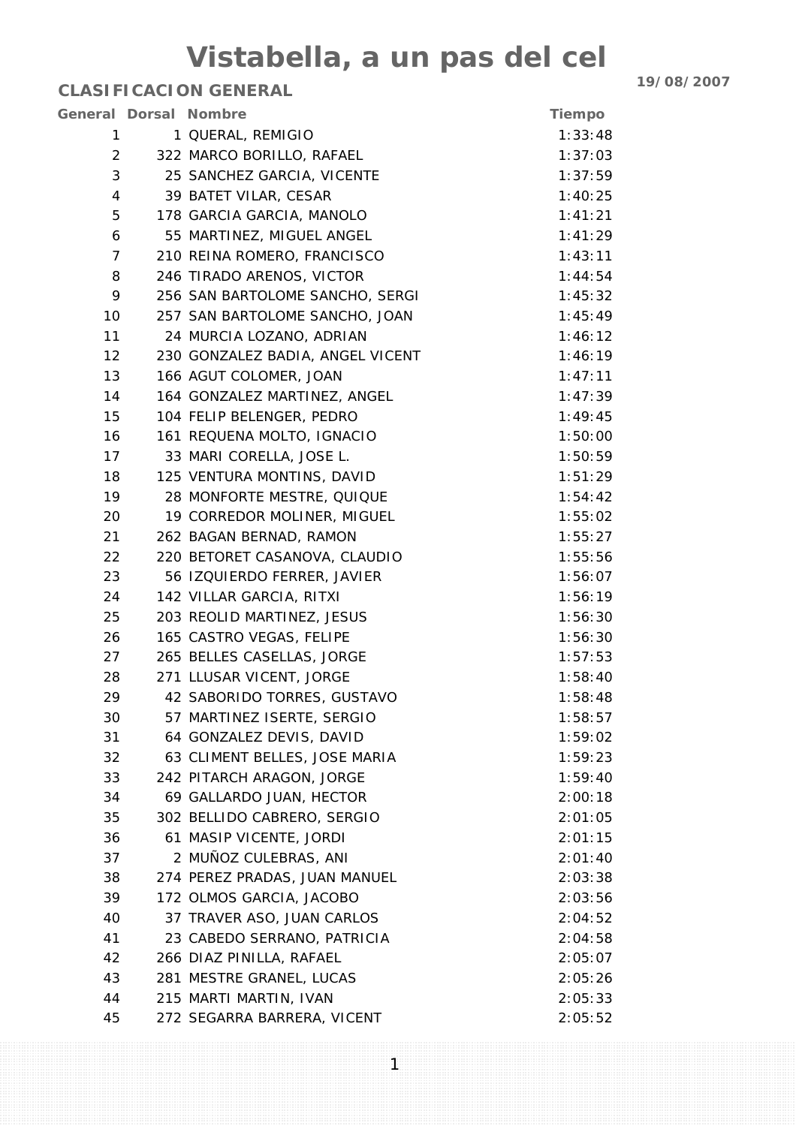|                | General Dorsal Nombre            | Tiempo  |
|----------------|----------------------------------|---------|
| 1              | 1 QUERAL, REMIGIO                | 1:33:48 |
| $\overline{2}$ | 322 MARCO BORILLO, RAFAEL        | 1:37:03 |
| 3              | 25 SANCHEZ GARCIA, VICENTE       | 1:37:59 |
| $\overline{4}$ | 39 BATET VILAR, CESAR            | 1:40:25 |
| 5              | 178 GARCIA GARCIA, MANOLO        | 1:41:21 |
| 6              | 55 MARTINEZ, MIGUEL ANGEL        | 1:41:29 |
| $\overline{7}$ | 210 REINA ROMERO, FRANCISCO      | 1:43:11 |
| 8              | 246 TIRADO ARENOS, VICTOR        | 1:44:54 |
| 9              | 256 SAN BARTOLOME SANCHO, SERGI  | 1:45:32 |
| 10             | 257 SAN BARTOLOME SANCHO, JOAN   | 1:45:49 |
| 11             | 24 MURCIA LOZANO, ADRIAN         | 1:46:12 |
| 12             | 230 GONZALEZ BADIA, ANGEL VICENT | 1:46:19 |
| 13             | 166 AGUT COLOMER, JOAN           | 1:47:11 |
| 14             | 164 GONZALEZ MARTINEZ, ANGEL     | 1:47:39 |
| 15             | 104 FELIP BELENGER, PEDRO        | 1:49:45 |
| 16             | 161 REQUENA MOLTO, IGNACIO       | 1:50:00 |
| 17             | 33 MARI CORELLA, JOSE L.         | 1:50:59 |
| 18             | 125 VENTURA MONTINS, DAVID       | 1:51:29 |
| 19             | 28 MONFORTE MESTRE, QUIQUE       | 1:54:42 |
| 20             | 19 CORREDOR MOLINER, MIGUEL      | 1:55:02 |
| 21             | 262 BAGAN BERNAD, RAMON          | 1:55:27 |
| 22             | 220 BETORET CASANOVA, CLAUDIO    | 1:55:56 |
| 23             | 56 IZQUIERDO FERRER, JAVIER      | 1:56:07 |
| 24             | 142 VILLAR GARCIA, RITXI         | 1:56:19 |
| 25             | 203 REOLID MARTINEZ, JESUS       | 1:56:30 |
| 26             | 165 CASTRO VEGAS, FELIPE         | 1:56:30 |
| 27             | 265 BELLES CASELLAS, JORGE       | 1:57:53 |
| 28             | 271 LLUSAR VICENT, JORGE         | 1:58:40 |
| 29             | 42 SABORIDO TORRES, GUSTAVO      | 1:58:48 |
| 30             | 57 MARTINEZ ISERTE, SERGIO       | 1:58:57 |
| 31             | 64 GONZALEZ DEVIS, DAVID         | 1:59:02 |
| 32             | 63 CLIMENT BELLES, JOSE MARIA    | 1:59:23 |
| 33             | 242 PITARCH ARAGON, JORGE        | 1:59:40 |
| 34             | 69 GALLARDO JUAN, HECTOR         | 2:00:18 |
| 35             | 302 BELLIDO CABRERO, SERGIO      | 2:01:05 |
| 36             | 61 MASIP VICENTE, JORDI          | 2:01:15 |
| 37             | 2 MUÑOZ CULEBRAS, ANI            | 2:01:40 |
| 38             | 274 PEREZ PRADAS, JUAN MANUEL    | 2:03:38 |
| 39             | 172 OLMOS GARCIA, JACOBO         | 2:03:56 |
| 40             | 37 TRAVER ASO, JUAN CARLOS       | 2:04:52 |
| 41             | 23 CABEDO SERRANO, PATRICIA      | 2:04:58 |
| 42             | 266 DIAZ PINILLA, RAFAEL         | 2:05:07 |
| 43             | 281 MESTRE GRANEL, LUCAS         | 2:05:26 |
| 44             | 215 MARTI MARTIN, IVAN           | 2:05:33 |
| 45             | 272 SEGARRA BARRERA, VICENT      | 2:05:52 |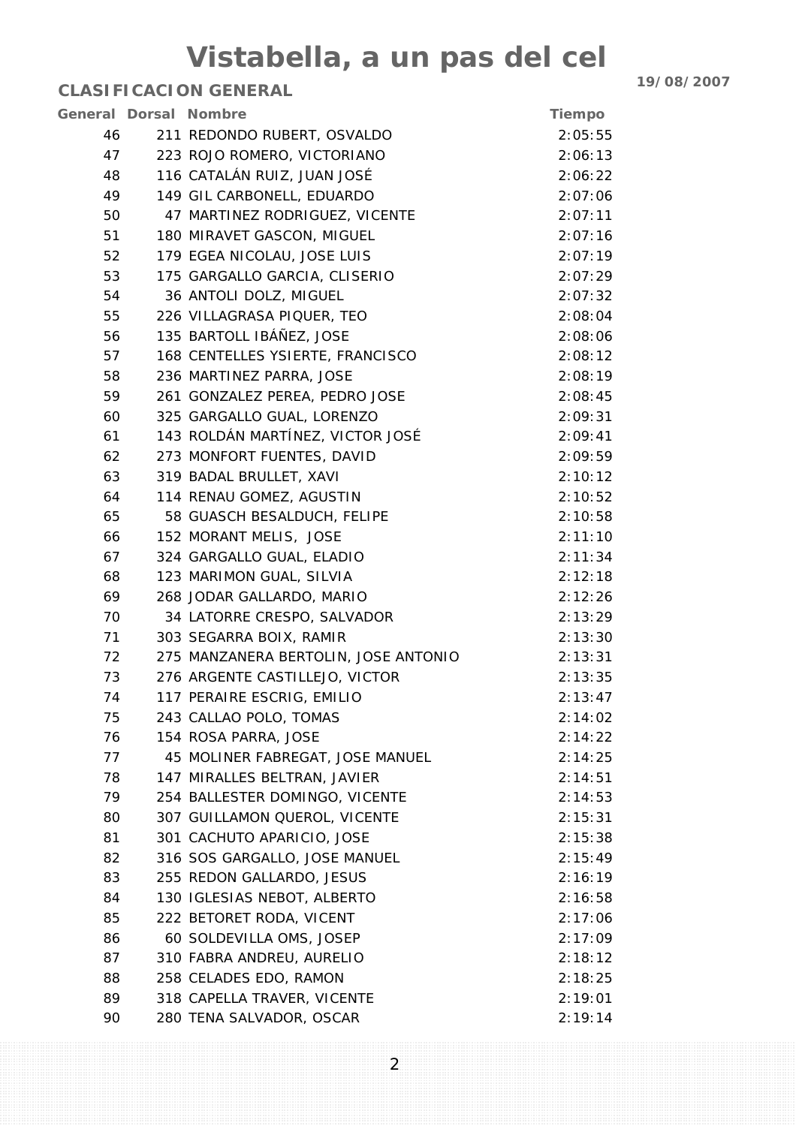| <b>General Dorsal Nombre</b> |                                      | Tiempo  |
|------------------------------|--------------------------------------|---------|
| 46                           | 211 REDONDO RUBERT, OSVALDO          | 2:05:55 |
| 47                           | 223 ROJO ROMERO, VICTORIANO          | 2:06:13 |
| 48                           | 116 CATALÁN RUIZ, JUAN JOSÉ          | 2:06:22 |
| 49                           | 149 GIL CARBONELL, EDUARDO           | 2:07:06 |
| 50                           | 47 MARTINEZ RODRIGUEZ, VICENTE       | 2:07:11 |
| 51                           | 180 MIRAVET GASCON, MIGUEL           | 2:07:16 |
| 52                           | 179 EGEA NICOLAU, JOSE LUIS          | 2:07:19 |
| 53                           | 175 GARGALLO GARCIA, CLISERIO        | 2:07:29 |
| 54                           | 36 ANTOLI DOLZ, MIGUEL               | 2:07:32 |
| 55                           | 226 VILLAGRASA PIQUER, TEO           | 2:08:04 |
| 56                           | 135 BARTOLL IBÁÑEZ, JOSE             | 2:08:06 |
| 57                           | 168 CENTELLES YSIERTE, FRANCISCO     | 2:08:12 |
| 58                           | 236 MARTINEZ PARRA, JOSE             | 2:08:19 |
| 59                           | 261 GONZALEZ PEREA, PEDRO JOSE       | 2:08:45 |
| 60                           | 325 GARGALLO GUAL, LORENZO           | 2:09:31 |
| 61                           | 143 ROLDÁN MARTÍNEZ, VICTOR JOSÉ     | 2:09:41 |
| 62                           | 273 MONFORT FUENTES, DAVID           | 2:09:59 |
| 63                           | 319 BADAL BRULLET, XAVI              | 2:10:12 |
| 64                           | 114 RENAU GOMEZ, AGUSTIN             | 2:10:52 |
| 65                           | 58 GUASCH BESALDUCH, FELIPE          | 2:10:58 |
| 66                           | 152 MORANT MELIS, JOSE               | 2:11:10 |
| 67                           | 324 GARGALLO GUAL, ELADIO            | 2:11:34 |
| 68                           | 123 MARIMON GUAL, SILVIA             | 2:12:18 |
| 69                           | 268 JODAR GALLARDO, MARIO            | 2:12:26 |
| 70                           | 34 LATORRE CRESPO, SALVADOR          | 2:13:29 |
| 71                           | 303 SEGARRA BOIX, RAMIR              | 2:13:30 |
| 72                           | 275 MANZANERA BERTOLIN, JOSE ANTONIO | 2:13:31 |
| 73                           | 276 ARGENTE CASTILLEJO, VICTOR       | 2:13:35 |
| 74                           | 117 PERAIRE ESCRIG, EMILIO           | 2:13:47 |
| 75                           | 243 CALLAO POLO, TOMAS               | 2:14:02 |
| 76                           | 154 ROSA PARRA, JOSE                 | 2:14:22 |
| 77                           | 45 MOLINER FABREGAT, JOSE MANUEL     | 2:14:25 |
| 78                           | 147 MIRALLES BELTRAN, JAVIER         | 2:14:51 |
| 79                           | 254 BALLESTER DOMINGO, VICENTE       | 2:14:53 |
| 80                           | 307 GUILLAMON QUEROL, VICENTE        | 2:15:31 |
| 81                           | 301 CACHUTO APARICIO, JOSE           | 2:15:38 |
| 82                           | 316 SOS GARGALLO, JOSE MANUEL        | 2:15:49 |
| 83                           | 255 REDON GALLARDO, JESUS            | 2:16:19 |
| 84                           | 130 IGLESIAS NEBOT, ALBERTO          | 2:16:58 |
| 85                           | 222 BETORET RODA, VICENT             | 2:17:06 |
| 86                           | 60 SOLDEVILLA OMS, JOSEP             | 2:17:09 |
| 87                           | 310 FABRA ANDREU, AURELIO            | 2:18:12 |
| 88                           | 258 CELADES EDO, RAMON               | 2:18:25 |
| 89                           | 318 CAPELLA TRAVER, VICENTE          | 2:19:01 |
| 90                           | 280 TENA SALVADOR, OSCAR             | 2:19:14 |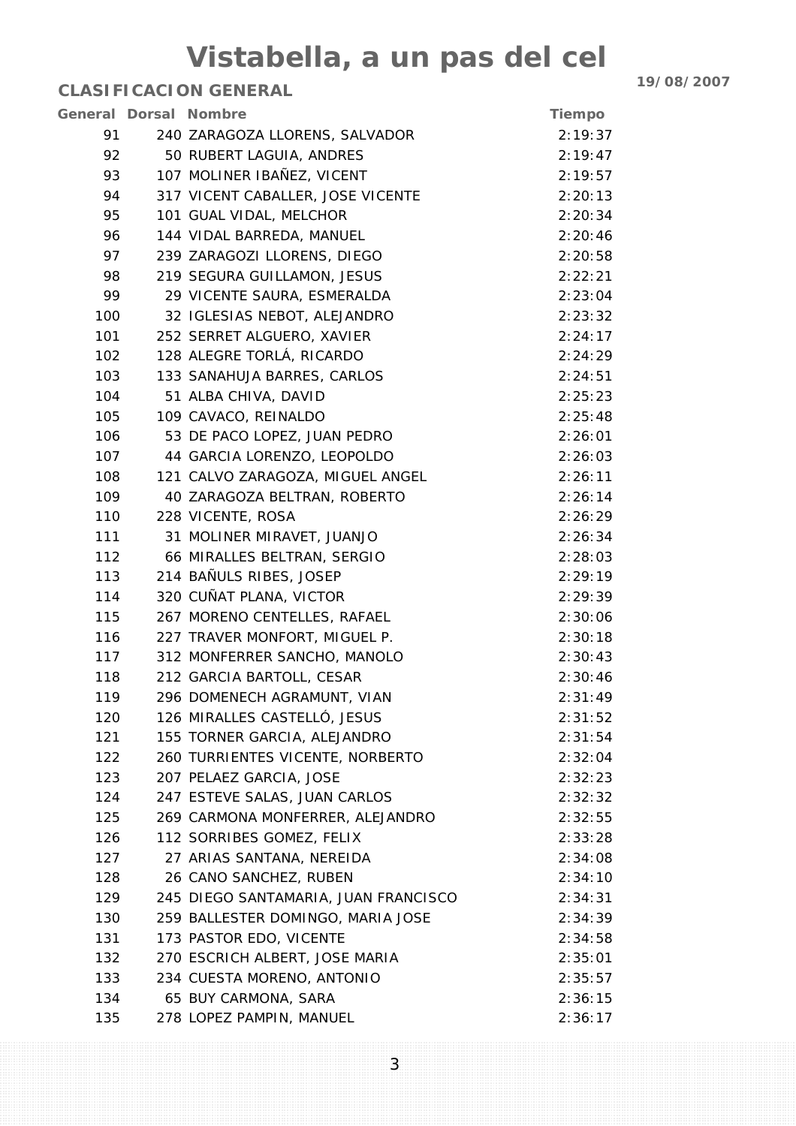|     | General Dorsal Nombre                | <b>Tiempo</b> |
|-----|--------------------------------------|---------------|
| 91  | 240 ZARAGOZA LLORENS, SALVADOR       | 2:19:37       |
| 92  | 50 RUBERT LAGUIA, ANDRES             | 2:19:47       |
| 93  | 107 MOLINER IBAÑEZ, VICENT           | 2:19:57       |
| 94  | 317 VICENT CABALLER, JOSE VICENTE    | 2:20:13       |
| 95  | 101 GUAL VIDAL, MELCHOR              | 2:20:34       |
| 96  | 144 VIDAL BARREDA, MANUEL            | 2:20:46       |
| 97  | 239 ZARAGOZI LLORENS, DIEGO          | 2:20:58       |
| 98  | 219 SEGURA GUILLAMON, JESUS          | 2:22:21       |
| 99  | 29 VICENTE SAURA, ESMERALDA          | 2:23:04       |
| 100 | 32 IGLESIAS NEBOT, ALEJANDRO         | 2:23:32       |
| 101 | 252 SERRET ALGUERO, XAVIER           | 2:24:17       |
| 102 | 128 ALEGRE TORLÁ, RICARDO            | 2:24:29       |
| 103 | 133 SANAHUJA BARRES, CARLOS          | 2:24:51       |
| 104 | 51 ALBA CHIVA, DAVID                 | 2:25:23       |
| 105 | 109 CAVACO, REINALDO                 | 2:25:48       |
| 106 | 53 DE PACO LOPEZ, JUAN PEDRO         | 2:26:01       |
| 107 | 44 GARCIA LORENZO, LEOPOLDO          | 2:26:03       |
| 108 | 121 CALVO ZARAGOZA, MIGUEL ANGEL     | 2:26:11       |
| 109 | 40 ZARAGOZA BELTRAN, ROBERTO         | 2:26:14       |
| 110 | 228 VICENTE, ROSA                    | 2:26:29       |
| 111 | 31 MOLINER MIRAVET, JUANJO           | 2:26:34       |
| 112 | 66 MIRALLES BELTRAN, SERGIO          | 2:28:03       |
| 113 | 214 BAÑULS RIBES, JOSEP              | 2:29:19       |
| 114 | 320 CUÑAT PLANA, VICTOR              | 2:29:39       |
| 115 | 267 MORENO CENTELLES, RAFAEL         | 2:30:06       |
| 116 | 227 TRAVER MONFORT, MIGUEL P.        | 2:30:18       |
| 117 | 312 MONFERRER SANCHO, MANOLO         | 2:30:43       |
| 118 | 212 GARCIA BARTOLL, CESAR            | 2:30:46       |
| 119 | 296 DOMENECH AGRAMUNT, VIAN          | 2:31:49       |
| 120 | 126 MIRALLES CASTELLÓ, JESUS         | 2:31:52       |
| 121 | 155 TORNER GARCIA, ALEJANDRO         | 2:31:54       |
| 122 | 260 TURRIENTES VICENTE, NORBERTO     | 2:32:04       |
| 123 | 207 PELAEZ GARCIA, JOSE              | 2:32:23       |
| 124 | 247 ESTEVE SALAS, JUAN CARLOS        | 2:32:32       |
| 125 | 269 CARMONA MONFERRER, ALEJANDRO     | 2:32:55       |
| 126 | 112 SORRIBES GOMEZ, FELIX            | 2:33:28       |
| 127 | 27 ARIAS SANTANA, NEREIDA            | 2:34:08       |
| 128 | 26 CANO SANCHEZ, RUBEN               | 2:34:10       |
| 129 | 245 DIEGO SANTAMARIA, JUAN FRANCISCO | 2:34:31       |
| 130 | 259 BALLESTER DOMINGO, MARIA JOSE    | 2:34:39       |
| 131 | 173 PASTOR EDO, VICENTE              | 2:34:58       |
| 132 | 270 ESCRICH ALBERT, JOSE MARIA       | 2:35:01       |
| 133 | 234 CUESTA MORENO, ANTONIO           | 2:35:57       |
| 134 | 65 BUY CARMONA, SARA                 | 2:36:15       |
| 135 | 278 LOPEZ PAMPIN, MANUEL             | 2:36:17       |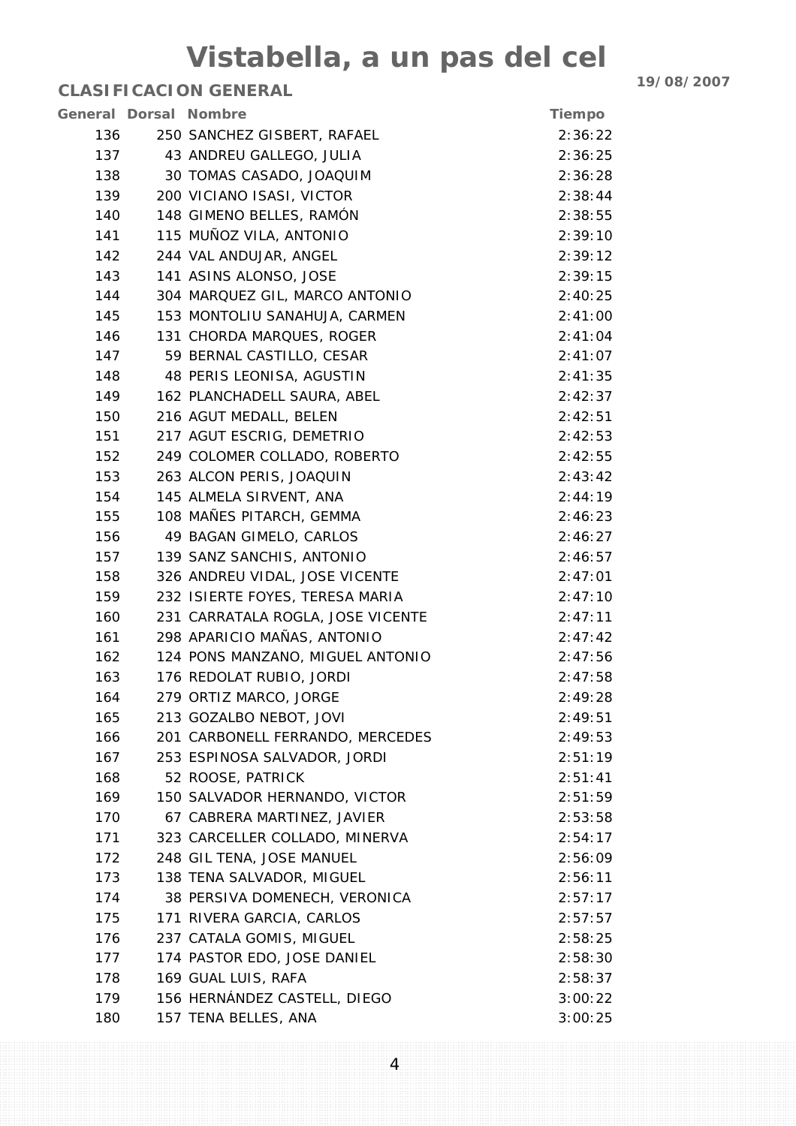| General Dorsal Nombre |                                   | <b>Tiempo</b> |
|-----------------------|-----------------------------------|---------------|
| 136                   | 250 SANCHEZ GISBERT, RAFAEL       | 2:36:22       |
| 137                   | 43 ANDREU GALLEGO, JULIA          | 2:36:25       |
| 138                   | 30 TOMAS CASADO, JOAQUIM          | 2:36:28       |
| 139                   | 200 VICIANO ISASI, VICTOR         | 2:38:44       |
| 140                   | 148 GIMENO BELLES, RAMÓN          | 2:38:55       |
| 141                   | 115 MUÑOZ VILA, ANTONIO           | 2:39:10       |
| 142                   | 244 VAL ANDUJAR, ANGEL            | 2:39:12       |
| 143                   | 141 ASINS ALONSO, JOSE            | 2:39:15       |
| 144                   | 304 MARQUEZ GIL, MARCO ANTONIO    | 2:40:25       |
| 145                   | 153 MONTOLIU SANAHUJA, CARMEN     | 2:41:00       |
| 146                   | 131 CHORDA MARQUES, ROGER         | 2:41:04       |
| 147                   | 59 BERNAL CASTILLO, CESAR         | 2:41:07       |
| 148                   | 48 PERIS LEONISA, AGUSTIN         | 2:41:35       |
| 149                   | 162 PLANCHADELL SAURA, ABEL       | 2:42:37       |
| 150                   | 216 AGUT MEDALL, BELEN            | 2:42:51       |
| 151                   | 217 AGUT ESCRIG, DEMETRIO         | 2:42:53       |
| 152                   | 249 COLOMER COLLADO, ROBERTO      | 2:42:55       |
| 153                   | 263 ALCON PERIS, JOAQUIN          | 2:43:42       |
| 154                   | 145 ALMELA SIRVENT, ANA           | 2:44:19       |
| 155                   | 108 MAÑES PITARCH, GEMMA          | 2:46:23       |
| 156                   | 49 BAGAN GIMELO, CARLOS           | 2:46:27       |
| 157                   | 139 SANZ SANCHIS, ANTONIO         | 2:46:57       |
| 158                   | 326 ANDREU VIDAL, JOSE VICENTE    | 2:47:01       |
| 159                   | 232 ISIERTE FOYES, TERESA MARIA   | 2:47:10       |
| 160                   | 231 CARRATALA ROGLA, JOSE VICENTE | 2:47:11       |
| 161                   | 298 APARICIO MAÑAS, ANTONIO       | 2:47:42       |
| 162                   | 124 PONS MANZANO, MIGUEL ANTONIO  | 2:47:56       |
| 163                   | 176 REDOLAT RUBIO, JORDI          | 2:47:58       |
| 164                   | 279 ORTIZ MARCO, JORGE            | 2:49:28       |
| 165                   | 213 GOZALBO NEBOT, JOVI           | 2:49:51       |
| 166                   | 201 CARBONELL FERRANDO, MERCEDES  | 2:49:53       |
| 167                   | 253 ESPINOSA SALVADOR, JORDI      | 2:51:19       |
| 168                   | 52 ROOSE, PATRICK                 | 2:51:41       |
| 169                   | 150 SALVADOR HERNANDO, VICTOR     | 2:51:59       |
| 170                   | 67 CABRERA MARTINEZ, JAVIER       | 2:53:58       |
| 171                   | 323 CARCELLER COLLADO, MINERVA    | 2:54:17       |
| 172                   | 248 GIL TENA, JOSE MANUEL         | 2:56:09       |
| 173                   | 138 TENA SALVADOR, MIGUEL         | 2:56:11       |
| 174                   | 38 PERSIVA DOMENECH, VERONICA     | 2:57:17       |
| 175                   | 171 RIVERA GARCIA, CARLOS         | 2:57:57       |
| 176                   | 237 CATALA GOMIS, MIGUEL          | 2:58:25       |
| 177                   | 174 PASTOR EDO, JOSE DANIEL       | 2:58:30       |
| 178                   | 169 GUAL LUIS, RAFA               | 2:58:37       |
| 179                   | 156 HERNÁNDEZ CASTELL, DIEGO      | 3:00:22       |
| 180                   | 157 TENA BELLES, ANA              | 3:00:25       |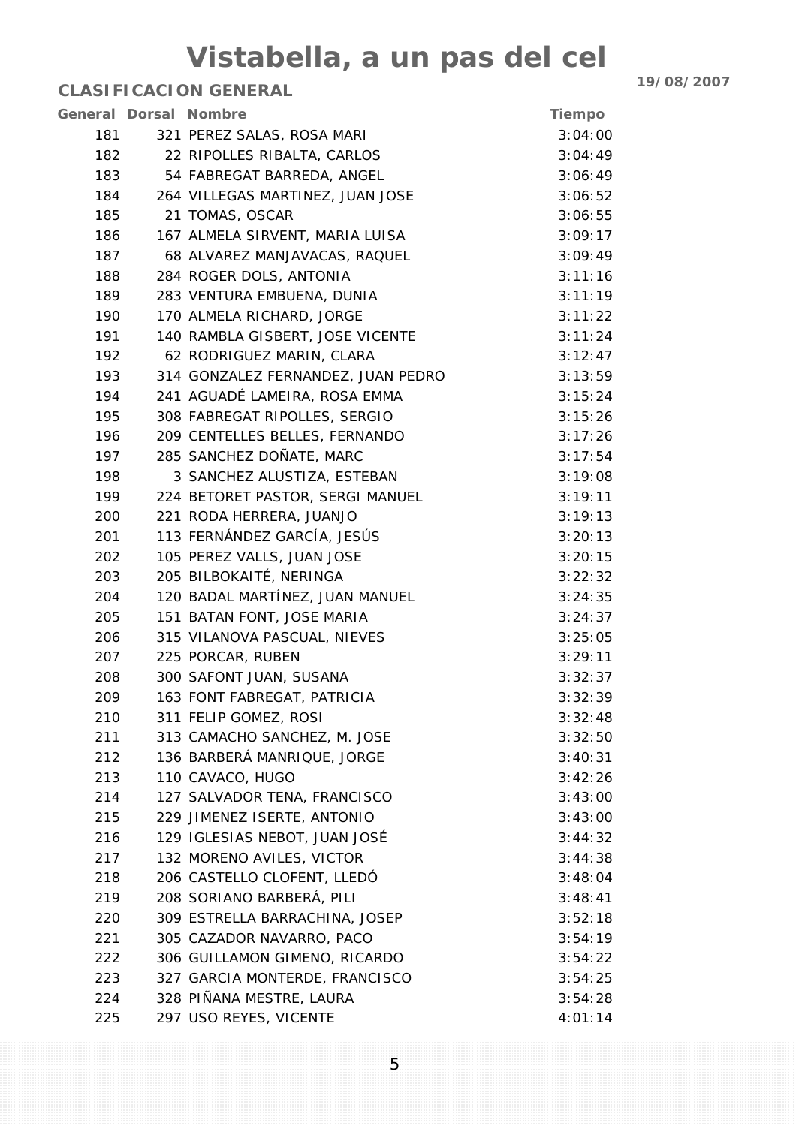|     | General Dorsal Nombre              | Tiempo  |
|-----|------------------------------------|---------|
| 181 | 321 PEREZ SALAS, ROSA MARI         | 3:04:00 |
| 182 | 22 RIPOLLES RIBALTA, CARLOS        | 3:04:49 |
| 183 | 54 FABREGAT BARREDA, ANGEL         | 3:06:49 |
| 184 | 264 VILLEGAS MARTINEZ, JUAN JOSE   | 3:06:52 |
| 185 | 21 TOMAS, OSCAR                    | 3:06:55 |
| 186 | 167 ALMELA SIRVENT, MARIA LUISA    | 3:09:17 |
| 187 | 68 ALVAREZ MANJAVACAS, RAQUEL      | 3:09:49 |
| 188 | 284 ROGER DOLS, ANTONIA            | 3:11:16 |
| 189 | 283 VENTURA EMBUENA, DUNIA         | 3:11:19 |
| 190 | 170 ALMELA RICHARD, JORGE          | 3:11:22 |
| 191 | 140 RAMBLA GISBERT, JOSE VICENTE   | 3:11:24 |
| 192 | 62 RODRIGUEZ MARIN, CLARA          | 3:12:47 |
| 193 | 314 GONZALEZ FERNANDEZ, JUAN PEDRO | 3:13:59 |
| 194 | 241 AGUADÉ LAMEIRA, ROSA EMMA      | 3:15:24 |
| 195 | 308 FABREGAT RIPOLLES, SERGIO      | 3:15:26 |
| 196 | 209 CENTELLES BELLES, FERNANDO     | 3:17:26 |
| 197 | 285 SANCHEZ DOÑATE, MARC           | 3:17:54 |
| 198 | 3 SANCHEZ ALUSTIZA, ESTEBAN        | 3:19:08 |
| 199 | 224 BETORET PASTOR, SERGI MANUEL   | 3:19:11 |
| 200 | 221 RODA HERRERA, JUANJO           | 3:19:13 |
| 201 | 113 FERNÁNDEZ GARCÍA, JESÚS        | 3:20:13 |
| 202 | 105 PEREZ VALLS, JUAN JOSE         | 3:20:15 |
| 203 | 205 BILBOKAITÉ, NERINGA            | 3:22:32 |
| 204 | 120 BADAL MARTÍNEZ, JUAN MANUEL    | 3:24:35 |
| 205 | 151 BATAN FONT, JOSE MARIA         | 3:24:37 |
| 206 | 315 VILANOVA PASCUAL, NIEVES       | 3:25:05 |
| 207 | 225 PORCAR, RUBEN                  | 3:29:11 |
| 208 | 300 SAFONT JUAN, SUSANA            | 3:32:37 |
| 209 | 163 FONT FABREGAT, PATRICIA        | 3:32:39 |
| 210 | 311 FELIP GOMEZ, ROSI              | 3:32:48 |
| 211 | 313 CAMACHO SANCHEZ, M. JOSE       | 3:32:50 |
| 212 | 136 BARBERÁ MANRIQUE, JORGE        | 3:40:31 |
| 213 | 110 CAVACO, HUGO                   | 3:42:26 |
| 214 | 127 SALVADOR TENA, FRANCISCO       | 3:43:00 |
| 215 | 229 JIMENEZ ISERTE, ANTONIO        | 3:43:00 |
| 216 | 129 IGLESIAS NEBOT, JUAN JOSÉ      | 3:44:32 |
| 217 | 132 MORENO AVILES, VICTOR          | 3:44:38 |
| 218 | 206 CASTELLO CLOFENT, LLEDÓ        | 3:48:04 |
| 219 | 208 SORIANO BARBERÁ, PILI          | 3:48:41 |
| 220 | 309 ESTRELLA BARRACHINA, JOSEP     | 3:52:18 |
| 221 | 305 CAZADOR NAVARRO, PACO          | 3:54:19 |
| 222 | 306 GUILLAMON GIMENO, RICARDO      | 3:54:22 |
| 223 | 327 GARCIA MONTERDE, FRANCISCO     | 3:54:25 |
| 224 | 328 PIÑANA MESTRE, LAURA           | 3:54:28 |
| 225 | 297 USO REYES, VICENTE             | 4:01:14 |